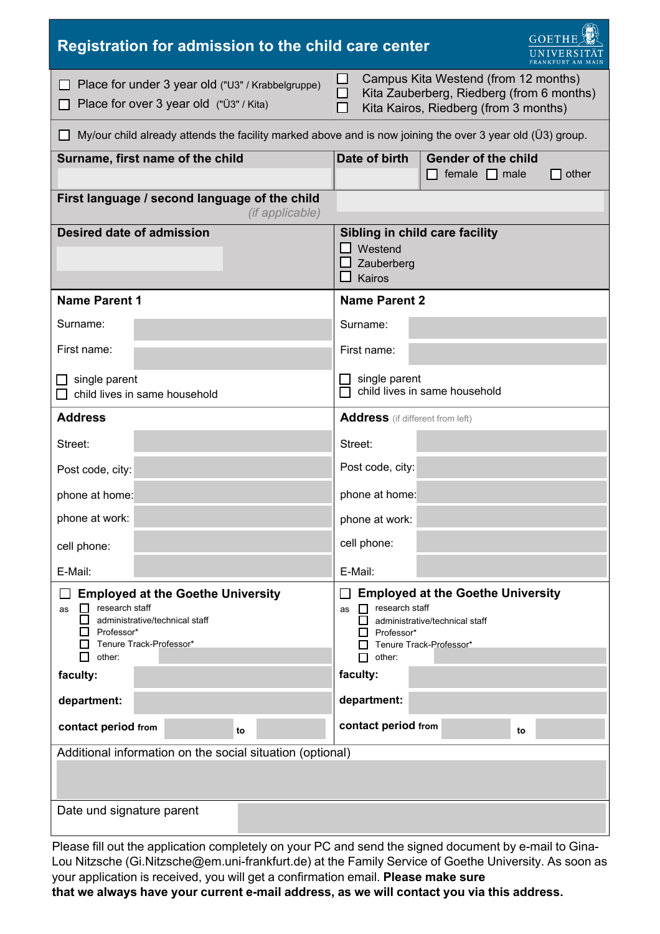| GOETHE<br>Registration for admission to the child care center                                                                                                     |                                                                                                                                                                          |
|-------------------------------------------------------------------------------------------------------------------------------------------------------------------|--------------------------------------------------------------------------------------------------------------------------------------------------------------------------|
| Place for under 3 year old ("U3" / Krabbelgruppe)<br>Place for over 3 year old ("Ü3" / Kita)                                                                      | Campus Kita Westend (from 12 months)<br>Kita Zauberberg, Riedberg (from 6 months)<br>Kita Kairos, Riedberg (from 3 months)                                               |
| My/our child already attends the facility marked above and is now joining the over 3 year old (U3) group.                                                         |                                                                                                                                                                          |
| Surname, first name of the child                                                                                                                                  | Date of birth<br><b>Gender of the child</b><br>$\Box$ female $\Box$ male<br>other                                                                                        |
| First language / second language of the child<br><i>(if applicable)</i>                                                                                           |                                                                                                                                                                          |
| <b>Desired date of admission</b>                                                                                                                                  | Sibling in child care facility<br>Westend<br>Zauberberg<br>Kairos                                                                                                        |
| <b>Name Parent 1</b>                                                                                                                                              | <b>Name Parent 2</b>                                                                                                                                                     |
| Surname:                                                                                                                                                          | Surname:                                                                                                                                                                 |
| First name:                                                                                                                                                       | First name:                                                                                                                                                              |
| $\Box$ single parent<br>child lives in same household                                                                                                             | single parent<br>child lives in same household                                                                                                                           |
| <b>Address</b>                                                                                                                                                    | <b>Address</b> (if different from left)                                                                                                                                  |
| Street:                                                                                                                                                           | Street:                                                                                                                                                                  |
| Post code, city:                                                                                                                                                  | Post code, city:                                                                                                                                                         |
| phone at home:                                                                                                                                                    | phone at home:                                                                                                                                                           |
| phone at work:                                                                                                                                                    | phone at work:                                                                                                                                                           |
| cell phone:                                                                                                                                                       | cell phone:                                                                                                                                                              |
| E-Mail:                                                                                                                                                           | E-Mail:                                                                                                                                                                  |
| <b>Employed at the Goethe University</b><br>research staff<br>as<br>administrative/technical staff<br>Professor*<br>Tenure Track-Professor*<br>other:<br>faculty: | <b>Employed at the Goethe University</b><br>$\Box$ research staff<br>as<br>administrative/technical staff<br>Professor*<br>Tenure Track-Professor*<br>other:<br>faculty: |
| department:                                                                                                                                                       | department:                                                                                                                                                              |
| contact period from<br>to                                                                                                                                         | contact period from<br>to                                                                                                                                                |
| Additional information on the social situation (optional)<br>Date und signature parent                                                                            |                                                                                                                                                                          |
|                                                                                                                                                                   |                                                                                                                                                                          |

Please fill out the application completely on your PC and send the signed document by e-mail to Gina-Lou Nitzsche (Gi.Nitzsche@em.uni-frankfurt.de) at the Family Service of Goethe University. As soon as your application is received, you will get a confirmation email. **Please make sure that we always have your current e-mail address, as we will contact you via this address.**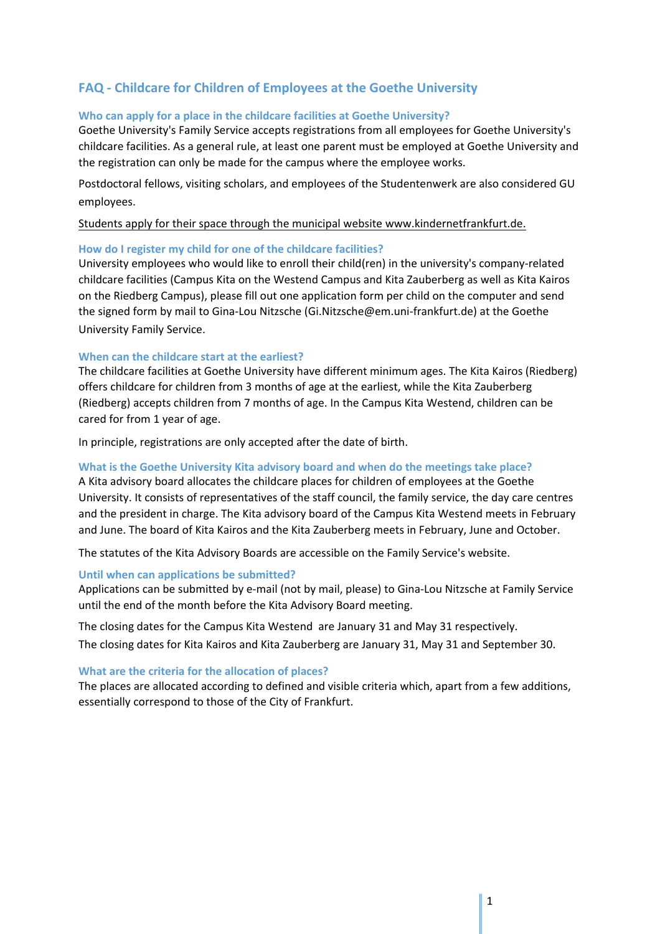# **FAQ - Childcare for Children of Employees at the Goethe University**

# **Who can apply for a place in the childcare facilities at Goethe University?**

Goethe University's Family Service accepts registrations from all employees for Goethe University's childcare facilities. As a general rule, at least one parent must be employed at Goethe University and the registration can only be made for the campus where the employee works.

Postdoctoral fellows, visiting scholars, and employees of the Studentenwerk are also considered GU employees.

# [Students apply for their spac](http://www.uni-frankfurt.de/59712033/Neues_Anmeldeverfahren_f%C3%BCr_Kinder_von_Studierenden)e thr[ough the municipal website](http://www.uni-frankfurt.de/59712033/Neues_Anmeldeverfahren_f%C3%BCr_Kinder_von_Studierenden) <www.kindernetfrankfurt.de>[.](http://www.uni-frankfurt.de/59712033/Neues_Anmeldeverfahren_f%C3%BCr_Kinder_von_Studierenden)

# **How do I register my child for one of the childcare facilities?**

University employees who would like to enroll their child(ren) in the university's company-related childcare facilities (Campus Kita on the Westend Campus and Kita Zauberberg as well as Kita Kairos on the Riedberg Campus), please fill out one application form per child on the computer and send the signed form by mail to Gina-Lou Nitzsche ([Gi.Nitzsche@em.uni-frankfurt.de\)](mailto:Gi.Nitzsche@em.uni-frankfurt.de) at the Goethe University Family Service.

### **When can the childcare start at the earliest?**

The childcare facilities at Goethe University have different minimum ages. The Kita Kairos (Riedberg) offers childcare for children from 3 months of age at the earliest, while the Kita Zauberberg (Riedberg) accepts children from 7 months of age. In the Campus Kita Westend, children can be cared for from 1 year of age.

In principle, registrations are only accepted after the date of birth.

# **What is the Goethe University Kita advisory board and when do the meetings take place?**

A Kita advisory board allocates the childcare places for children of employees at the Goethe University. It consists of representatives of the staff council, the family service, the day care centres and the president in charge. The Kita advisory board of the Campus Kita Westend meets in February and June. The board of Kita Kairos and the Kita Zauberberg meets in February, June and October.

The statutes of the Kita Advisory Boards are accessible on the [Family Service's website](https://www,family.uni-frankfurt.de).

#### **Until when can applications be submitted?**

Applications can be submitted by e-mail (not by mail, please) to Gina-Lou Nitzsche at Family Service until the end of the month before the Kita Advisory Board meeting.

The closing dates for the Campus Kita Westend are January 31 and May 31 respectively. The closing dates for Kita Kairos and Kita Zauberberg are January 31, May 31 and September 30.

#### **What are the criteria for the allocation of places?**

The places are allocated according to defined and visible criteria which, apart from a few additions, essentially correspond to those of the City of Frankfurt.